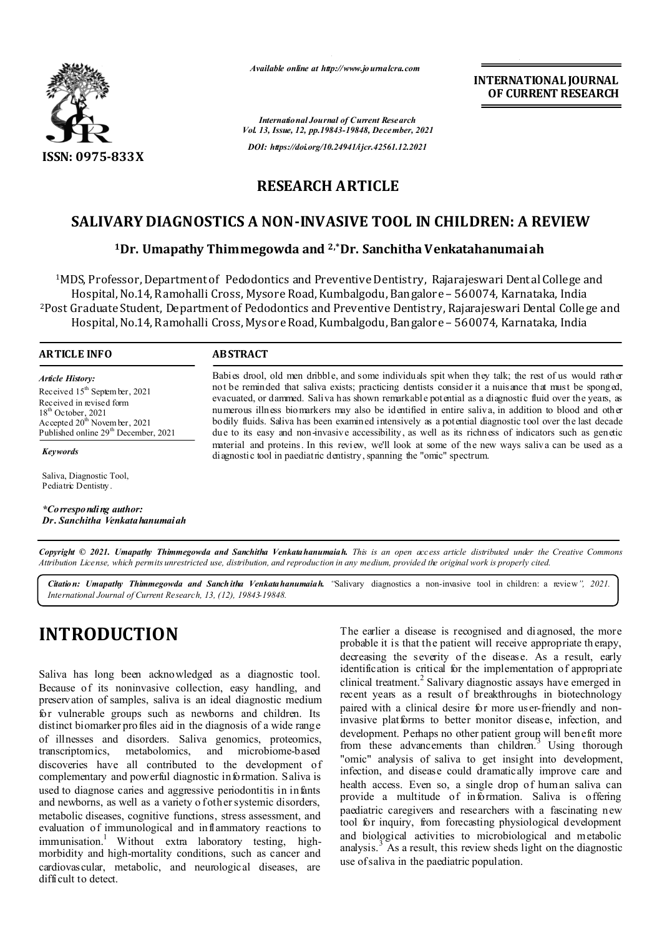

*Available online at http://www.journalcra.com*

*International Journal of Current Research Vol. 13, Issue, 12, pp.19843-19848, December, 2021 DOI: https://doi.org/10.24941/ijcr.42561.12.2021*

**INTERNATIONAL JOURNAL OF CURRENT RESEARCH**

# **RESEARCH ARTICLE**

# **SALIVARY DIAGNOSTICS A NON-INVASIVE TOOL IN CHILDREN: A REVIEW**

### **1Dr. Umapathy Thimmegowda and 2,\*Dr. Sanchitha Venkatahanumaiah**

1MDS, Professor, Department of Pedodontics and Preventive Dentistry, Rajarajeswari Dent al College and Hospital, No.14, Ramohalli Cross, Mysore Road, Kumbalgodu, Bangalore – 560074, Karnataka, India 2Post Graduate Student, Department of Pedodontics and Preventive Dentistry, Rajarajeswari Dental College and Hospital, No.14, Ramohalli Cross, Mysore Road, Kumbalgodu, Bangalore – 560074, Karnataka, India

#### **ARTICLE INFO ABSTRACT**

*Article History: Article History:* Received 15<sup>th</sup> Septem ber, 2021 Received in revised form Received in revised form Received in revised form  $18<sup>th</sup>$  October 2021 Accepted  $20^{\text{th}}$  November, 2021 Published online 29<sup>th</sup> December, 2021  $18^{th}$  October, 2021 Ac cepted  $20^{\text{th}}$  Novem ba 18<sup>th</sup> October, 2021 Accepted 20<sup>th</sup> November, 2021

*Keywords*

Saliva, Diagnostic Tool, Pediatric Dentistry.

*\*Corresponding author: Dr. Sanchitha Venkatahanumaiah*

Babies drool, old men dribble, and some individuals spit when they talk; the rest of us would rather not be reminded that saliva exists; practicing dentists consider it a nuisance that must be sponged, evacuated, or dammed. Saliva has shown remarkable potential as a diagnostic fluid over the years, as numerous illness biomarkers may also be identified in entire saliva, in addition to blood and other bodily fluids. Saliva has been examined intensively as a potential diagnostic tool over the last decade due to its easy and non-invasive accessibility, as well as its richness of indicators such as genetic material and proteins. In this review, we'll look at some of the new ways saliva can be used as a diagnostic tool in paediatric dentistry, spanning the "omic" spectrum.

Copyright © 2021. Umapathy Thimmegowda and Sanchitha Venkata hanumaiah. This is an open access article distributed under the Creative Commons Attribution License, which permits unrestricted use, distribution, and reproduction in any medium, provided the original work is properly cited.

*Citation: Umapathy Thimmegowda and Sanchitha Venkatahanumaiah. "*Salivary diagnostics a non-invasive tool in children: a review*", 2021. International Journal of Current Research, 13, (12), 19843-19848.*

# **INTRODUCTION**

Saliva has long been acknowledged as a diagnostic tool. Because of its noninvasive collection, easy handling, and preservation of samples, saliva is an ideal diagnostic medium for vulnerable groups such as newborns and children. Its distinct biomarker profiles aid in the diagnosis of a wide range of illnesses and disorders. Saliva genomics, proteomics, transcriptomics, metabolomics, and microbiome-based discoveries have all contributed to the development of complementary and powerful diagnostic information. Saliva is used to diagnose caries and aggressive periodontitis in infants and newborns, as well as a variety o fother systemic disorders, metabolic diseases, cognitive functions, stress assessment, and evaluation of immunological and inflammatory reactions to immunisation.<sup>1</sup> Without extra laboratory testing, highmorbidity and high-mortality conditions, such as cancer and cardiovascular, metabolic, and neurological diseases, are difficult to detect.

The earlier a disease is recognised and diagnosed, the more probable it is that the patient will receive appropriate th erapy, decreasing the severity of the disease. As a result, early identification is critical for the implementation of appropriate clinical treatment.<sup>2</sup> Salivary diagnostic assays have emerged in recent years as a result of breakthroughs in biotechnology paired with a clinical desire for more user-friendly and noninvasive platforms to better monitor disease, infection, and development. Perhaps no other patient group will benefit more from these advancements than children.<sup>3</sup> Using thorough "omic" analysis of saliva to get insight into development, infection, and disease could dramatically improve care and health access. Even so, a single drop of human saliva can provide a multitude of information. Saliva is offering paediatric caregivers and researchers with a fascinating new tool for inquiry, from forecasting physiological development and biological activities to microbiological and metabolic analysis.<sup>3</sup> As a result, this review sheds light on the diagnostic use of saliva in the paediatric population.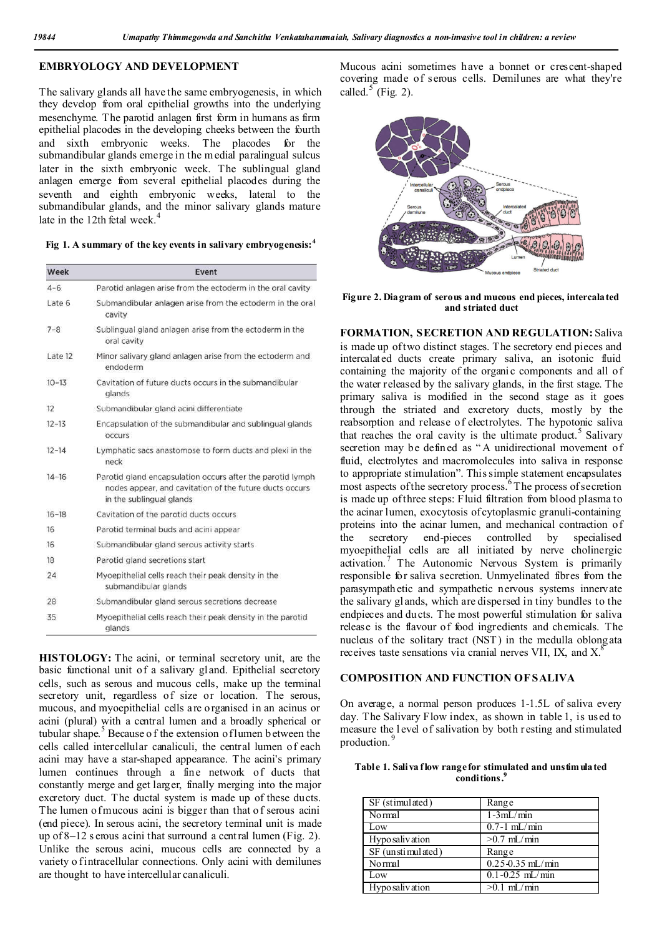#### **EMBRYOLOGY AND DEVELOPMENT**

The salivary glands all have the same embryogenesis, in which they develop from oral epithelial growths into the underlying mesenchyme. The parotid anlagen first form in humans as firm epithelial placodes in the developing cheeks between the fourth and sixth embryonic weeks. The placodes for the submandibular glands emerge in the m edial paralingual sulcus later in the sixth embryonic week. The sublingual gland anlagen emerge from several epithelial placodes during the seventh and eighth embryonic weeks, lateral to the submandibular glands, and the minor salivary glands mature late in the 12th fetal week.<sup>4</sup>

**Fig 1. A summary of the key events in salivary embryogenesis:<sup>4</sup>**

| Week      | Event                                                                                                                                             |  |
|-----------|---------------------------------------------------------------------------------------------------------------------------------------------------|--|
| $4 - 6$   | Parotid anlagen arise from the ectoderm in the oral cavity                                                                                        |  |
| Late 6    | Submandibular anlagen arise from the ectoderm in the oral<br>cavity                                                                               |  |
| $7 - 8$   | Sublingual gland anlagen arise from the ectoderm in the<br>oral cavity                                                                            |  |
| Late 12   | Minor salivary gland anlagen arise from the ectoderm and<br>endoderm                                                                              |  |
| $10 - 13$ | Cavitation of future ducts occurs in the submandibular<br>glands                                                                                  |  |
| 12        | Submandibular gland acini differentiate                                                                                                           |  |
| $12 - 13$ | Encapsulation of the submandibular and sublingual glands<br><b>OCCUIS</b>                                                                         |  |
| $12 - 14$ | Lymphatic sacs anastomose to form ducts and plexi in the<br>neck                                                                                  |  |
| $14 - 16$ | Parotid gland encapsulation occurs after the parotid lymph<br>nodes appear, and cavitation of the future ducts occurs<br>in the sublingual glands |  |
| $16 - 18$ | Cavitation of the parotid ducts occurs                                                                                                            |  |
| 16        | Parotid terminal buds and acini appear                                                                                                            |  |
| 16        | Submandibular gland serous activity starts                                                                                                        |  |
| 18        | Parotid gland secretions start                                                                                                                    |  |
| 24        | Myoepithelial cells reach their peak density in the<br>submandibular glands                                                                       |  |
| 28        | Submandibular gland serous secretions decrease                                                                                                    |  |
| 35        | Myoepithelial cells reach their peak density in the parotid<br>glands                                                                             |  |

**HISTOLOGY:** The acini, or terminal secretory unit, are the basic functional unit of a salivary gland. Epithelial secretory cells, such as serous and mucous cells, make up the terminal secretory unit, regardless of size or location. The serous, mucous, and myoepithelial cells are organised in an acinus or acini (plural) with a central lumen and a broadly spherical or tubular shape.<sup>5</sup> Because of the extension of lumen b etween the cells called intercellular canaliculi, the central lumen of each acini may have a star-shaped appearance. The acini's primary lumen continues through a fine network of ducts that constantly merge and get larger, finally merging into the major excretory duct. The ductal system is made up of these ducts. The lumen of mucous acini is bigger than that of serous acini (end piece). In serous acini, the secretory terminal unit is made up of 8–12 s erous acini that surround a central lumen (Fig. 2). Unlike the serous acini, mucous cells are connected by a variety o fintracellular connections. Only acini with demilunes are thought to have intercellular canaliculi.

Mucous acini sometimes have a bonnet or crescent-shaped covering made of serous cells. Demilunes are what they're called.<sup>5</sup> (Fig. 2).



**Figure 2. Diagram of serous and mucous end pieces, intercalated and striated duct**

**FORMATION, SECRETION AND REGULATION:** Saliva is made up of two distinct stages. The secretory end pieces and intercalated ducts create primary saliva, an isotonic fluid containing the majority of the organic components and all of the water released by the salivary glands, in the first stage. The primary saliva is modified in the second stage as it goes through the striated and excretory ducts, mostly by the reabsorption and release of electrolytes. The hypotonic saliva that reaches the oral cavity is the ultimate product.<sup>5</sup> Salivary secretion may be defined as "A unidirectional movement of fluid, electrolytes and macromolecules into saliva in response to appropriate stimulation". This simple statement encapsulates most aspects of the secretory process.<sup>6</sup>The process of secretion is made up of three steps: Fluid filtration from blood plasma to the acinar lumen, exocytosis of cytoplasmic granuli-containing proteins into the acinar lumen, and mechanical contraction of the secretory end-pieces controlled by specialised myoepithelial cells are all initiated by nerve cholinergic activation.<sup>7</sup> The Autonomic Nervous System is primarily responsible for saliva secretion. Unmyelinated fibres from the parasympathetic and sympathetic nervous systems innervate the salivary gl ands, which are dispersed in tiny bundles to the endpieces and ducts. The most powerful stimulation for saliva release is the flavour of food ingredients and chemicals. The nucleus of the solitary tract (NST ) in the medulla oblongata receives taste sensations via cranial nerves VII, IX, and  $X^8$ .

#### **COMPOSITION AND FUNCTION OF SALIVA**

On average, a normal person produces 1-1.5L of saliva every day. The Salivary Flow index, as shown in table 1, is used to measure the l evel of salivation by both resting and stimulated production.

**Table 1. Saliva flow range for stimulated and unstimulated conditions.9**

| SF (stimulated)   | Range                |
|-------------------|----------------------|
| Normal            | $1-3mL/min$          |
| Low               | $0.7-1$ mL/min       |
| Hypo salivation   | $>0.7$ mL/min        |
| SF (unstimulated) | Range                |
| Normal            | $0.25 - 0.35$ mL/min |
| Low               | $0.1 - 0.25$ mL/min  |
| Hypo salivation   | $>0.1$ mL/min        |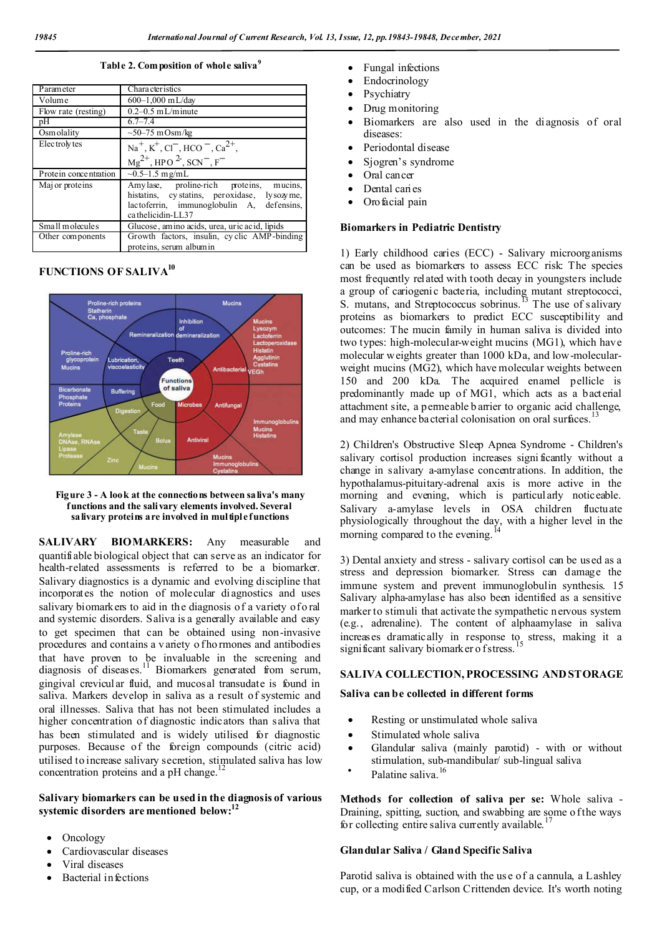**Table 2. Composition of whole saliva<sup>9</sup>**

| Parameter             | Character istics                                                                                                                                          |
|-----------------------|-----------------------------------------------------------------------------------------------------------------------------------------------------------|
| Volume                | $600-1,000$ mL/day                                                                                                                                        |
| Flow rate (resting)   | $0.2 - 0.5$ mL/minute                                                                                                                                     |
| pΗ                    | $6.7 - 7.4$                                                                                                                                               |
| Osmolality            | $\sim$ 50–75 mOsm/kg                                                                                                                                      |
| Electrolytes          | $Na^+, K^+, Cl^-, HCO^-, Ca^{2+},$<br>$Mg^{2+}$ , HPO $^{2}$ , SCN <sup>-</sup> , F <sup>-</sup>                                                          |
|                       |                                                                                                                                                           |
| Protein concentration | $\sim 0.5 - 1.5$ mg/mL                                                                                                                                    |
| Maj or proteins       | Amylase, proline-rich proteins, mucins,<br>histatins, cystatins, peroxidase, lysozyme,<br>lactoferrin, immunoglobulin A, defensins,<br>ca thelicidin-LL37 |
| Small molecules       | Glucose, amino acids, urea, uric acid, lipids                                                                                                             |
| Other components      | Growth factors, insulin, cyclic AMP-binding<br>proteins, serum albumin                                                                                    |

#### **FUNCTIONS OF SALIVA10**





**SALIVARY BIOMARKERS:** Any measurable and quantifiable biological object that can serve as an indicator for health-related assessments is referred to be a biomarker. Salivary diagnostics is a dynamic and evolving discipline that incorporates the notion of molecular diagnostics and uses salivary biomarkers to aid in the diagnosis of a variety of o ral and systemic disorders. Saliva is a generally available and easy to get specimen that can be obtained using non-invasive procedures and contains a v ariety o f ho rmones and antibodies that have proven to be invaluable in the screening and diagnosis of diseases.<sup>11</sup> Biomarkers generated from serum, gingival crevicular fluid, and mucosal transudate is found in saliva. Markers develop in saliva as a result of systemic and oral illnesses. Saliva that has not been stimulated includes a higher concentration of diagnostic indicators than saliva that has been stimulated and is widely utilised for diagnostic purposes. Because of the foreign compounds (citric acid) utilised to increase salivary secretion, stimulated saliva has low concentration proteins and a pH change.<sup>12</sup>

#### **Salivary biomarkers can be used in the diagnosis of various**  systemic disorders are mentioned below:<sup>12</sup>

- Oncology
- Cardiovascular diseases
- Viral diseases
- Bacterial infections
- Fungal infections
- Endocrinology
- Psychiatry
- Drug monitoring
- Biomarkers are also used in the diagnosis of oral diseases:
- Periodontal disease
- Sjogren's syndrome
- Oral cancer
- Dental caries
- Orofacial pain

#### **Biomarkers in Pediatric Dentistry**

1) Early childhood caries (ECC) - Salivary microorganisms can be used as biomarkers to assess ECC risk: The species most frequently related with tooth decay in youngsters include a group of cariogenic bacteria, including mutant streptococci, S. mutans, and Streptococcus sobrinus.<sup>13</sup> The use of salivary proteins as biomarkers to predict ECC susceptibility and outcomes: The mucin family in human saliva is divided into two types: high-molecular-weight mucins (MG1), which have molecular weights greater than 1000 kDa, and low-molecularweight mucins (MG2), which have molecular weights between 150 and 200 kDa. The acquired enamel pellicle is predominantly made up of MG1, which acts as a bacterial attachment site, a permeable b arrier to organic acid challenge, and may enhance bacterial colonisation on oral surfaces.

2) Children's Obstructive Sleep Apnea Syndrome - Children's salivary cortisol production increases signi ficantly without a change in salivary a-amylase concentrations. In addition, the hypothalamus-pituitary-adrenal axis is more active in the morning and evening, which is particularly noticeable. Salivary a-amylase levels in OSA children fluctuate physiologically throughout the day, with a higher level in the morning compared to the evening.

3) Dental anxiety and stress - salivary cortisol can be used as a stress and depression biomarker. Stress can damage the immune system and prevent immunoglobulin synthesis. 15 Salivary alpha-amylase has also been identified as a sensitive marker to stimuli that activate the sympathetic nervous system (e.g., adrenaline). The content of alphaamylase in saliva increases dramatically in response to stress, making it a significant salivary biomarker of stress.

#### **SALIVA COLLECTION, PROCESSING AND STORAGE**

#### **Saliva can be collected in different forms**

- Resting or unstimulated whole saliva
- Stimulated whole saliva
- Glandular saliva (mainly parotid) with or without stimulation, sub-mandibular/ sub-lingual saliva
- Palatine saliva.<sup>16</sup>

**Methods for collection of saliva per se:** Whole saliva - Draining, spitting, suction, and swabbing are some of the ways for collecting entire saliva currently available.

#### **Glandular Saliva / Gland Specific Saliva**

Parotid saliva is obtained with the us e of a cannula, a Lashley cup, or a modified Carlson Crittenden device. It's worth noting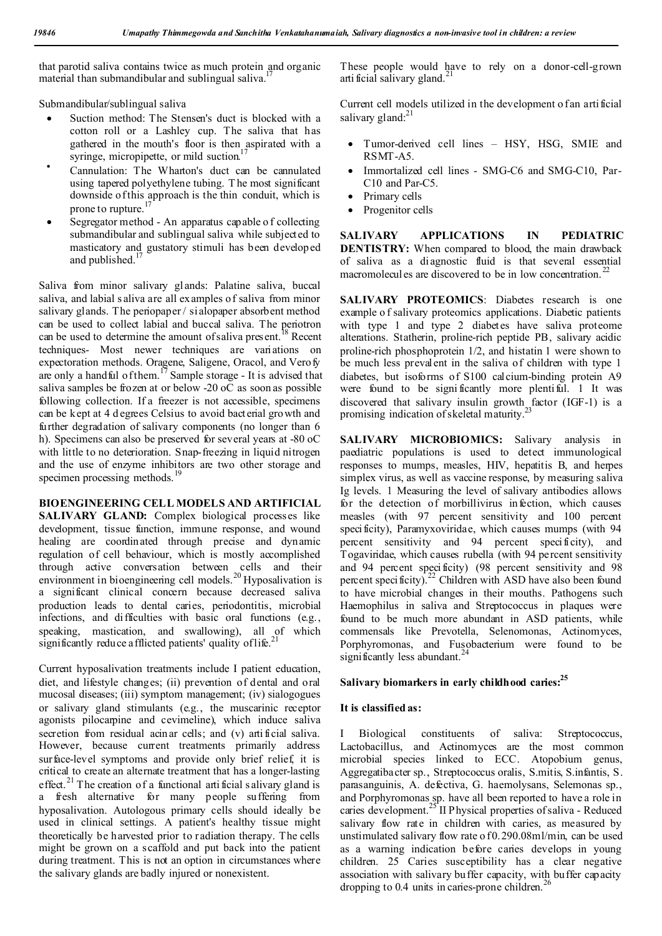that parotid saliva contains twice as much protein and organic material than submandibular and sublingual saliva.<sup>1</sup>

Submandibular/sublingual saliva

- Suction method: The Stensen's duct is blocked with a cotton roll or a Lashley cup. The saliva that has gathered in the mouth's floor is then aspirated with a syringe, micropipette, or mild suction.
- Cannulation: The Wharton's duct can be cannulated using tapered polyethylene tubing. T he most significant downside of this approach is the thin conduit, which is prone to rupture.
- Segregator method An apparatus capable o f collecting submandibular and sublingual saliva while subjected to masticatory and gustatory stimuli has been developed and published.<sup>1</sup>

Saliva from minor salivary glands: Palatine saliva, buccal saliva, and labial s aliva are all examples of saliva from minor salivary glands. The periopaper / sialopaper absorbent method can be used to collect labial and buccal saliva. The periotron can be used to determine the amount of saliva present.<sup>18</sup> Recent techniques- Most newer techniques are variations on expectoration methods. Oragene, Saligene, Oracol, and Verofy are only a handful of them.<sup>17</sup> Sample storage - It is advised that saliva samples be frozen at or below -20 oC as soon as possible following collection. If a freezer is not accessible, specimens can be kept at 4 d egrees Celsius to avoid bacterial growth and further degradation of salivary components (no longer than 6 h). Specimens can also be preserved for several years at -80 oC with little to no deterioration. Snap-freezing in liquid nitrogen and the use of enzyme inhibitors are two other storage and specimen processing methods.<sup>19</sup>

#### **BIOENGINEERING CELL MODELS AND ARTIFICIAL**

SALIVARY GLAND: Complex biological processes like development, tissue function, immune response, and wound healing are coordinated through precise and dynamic regulation of cell behaviour, which is mostly accomplished through active conversation between cells and their environment in bioengineering cell models.<sup>20</sup> Hyposalivation is a significant clinical concern because decreased saliva production leads to dental caries, periodontitis, microbial infections, and difficulties with basic oral functions (e.g., speaking, mastication, and swallowing), all of which significantly reduce a fflicted patients' quality of life.<sup>21</sup>

Current hyposalivation treatments include I patient education, diet, and lifestyle changes; (ii) prevention of dental and oral mucosal diseases; (iii) symptom management; (iv) sialogogues or salivary gland stimulants (e.g., the muscarinic receptor agonists pilocarpine and cevimeline), which induce saliva secretion from residual acinar cells; and (v) artificial saliva. However, because current treatments primarily address surface-level symptoms and provide only brief relief, it is critical to create an alternate treatment that has a longer-lasting effect.<sup>21</sup> The creation of a functional artificial s alivary gland is a fresh alternative for many people suffering from hyposalivation. Autologous primary cells should ideally be used in clinical settings. A patient's healthy tissue might theoretically be harvested prior to radiation therapy. The cells might be grown on a scaffold and put back into the patient during treatment. This is not an option in circumstances where the salivary glands are badly injured or nonexistent.

These people would have to rely on a donor-cell-grown arti ficial salivary gland. $^{21}$ 

Current cell models utilized in the development o fan artificial salivary gland: $^{21}$ 

- Tumor-derived cell lines HSY, HSG, SMIE and RSMT-A5.
- Immortalized cell lines SMG-C6 and SMG-C10, Par-C10 and Par-C5.
- Primary cells
- Progenitor cells

**SALIVARY APPLICATIONS IN PEDIATRIC DENTISTRY:** When compared to blood, the main drawback of saliva as a diagnostic fluid is that several essential macromolecules are discovered to be in low concentration.<sup>22</sup>

**SALIVARY PROTEOMICS**: Diabetes research is one example o f salivary proteomics applications. Diabetic patients with type 1 and type 2 diabetes have saliva proteome alterations. Statherin, proline-rich peptide PB, salivary acidic proline-rich phosphoprotein 1/2, and histatin 1 were shown to be much less prevalent in the saliva of children with type 1 diabetes, but isoforms of S100 calcium-binding protein A9 were found to be significantly more plentiful. 1 It was discovered that salivary insulin growth factor (IGF-1) is a promising indication of skeletal maturity.<sup>2</sup>

**SALIVARY MICROBIOMICS:** Salivary analysis in paediatric populations is used to detect immunological responses to mumps, measles, HIV, hepatitis B, and herpes simplex virus, as well as vaccine response, by measuring saliva Ig levels. 1 Measuring the level of salivary antibodies allows for the detection of morbillivirus infection, which causes measles (with 97 percent sensitivity and 100 percent specificity), Paramyxoviridae, which causes mumps (with 94 percent sensitivity and 94 percent specificity), and Togaviridae, which causes rubella (with 94 percent sensitivity and 94 percent specificity) (98 percent sensitivity and 98 percent specificity).<sup>22</sup> Children with ASD have also been found to have microbial changes in their mouths. Pathogens such Haemophilus in saliva and Streptococcus in plaques were found to be much more abundant in ASD patients, while commensals like Prevotella, Selenomonas, Actinomyces, Porphyromonas, and Fusobacterium were found to be significantly less abundant.

#### Salivary biomarkers in early childhood caries:<sup>25</sup>

#### **It is classified as:**

Biological constituents of saliva: Streptococcus, Lactobacillus, and Actinomyces are the most common microbial species linked to ECC. Atopobium genus, Aggregatibacter sp., Streptococcus oralis, S.mitis, S.infantis, S. parasanguinis, A. defectiva, G. haemolysans, Selemonas sp., and Porphyromonas sp. have all been reported to have a role in caries development.<sup>25</sup> II Physical properties of saliva - Reduced salivary flow rate in children with caries, as measured by unstimulated salivary flow rate o f 0.290.08ml/min, can be used as a warning indication before caries develops in young children. 25 Caries susceptibility has a clear negative association with salivary buffer capacity, with buffer capacity dropping to 0.4 units in caries-prone children.<sup>2</sup>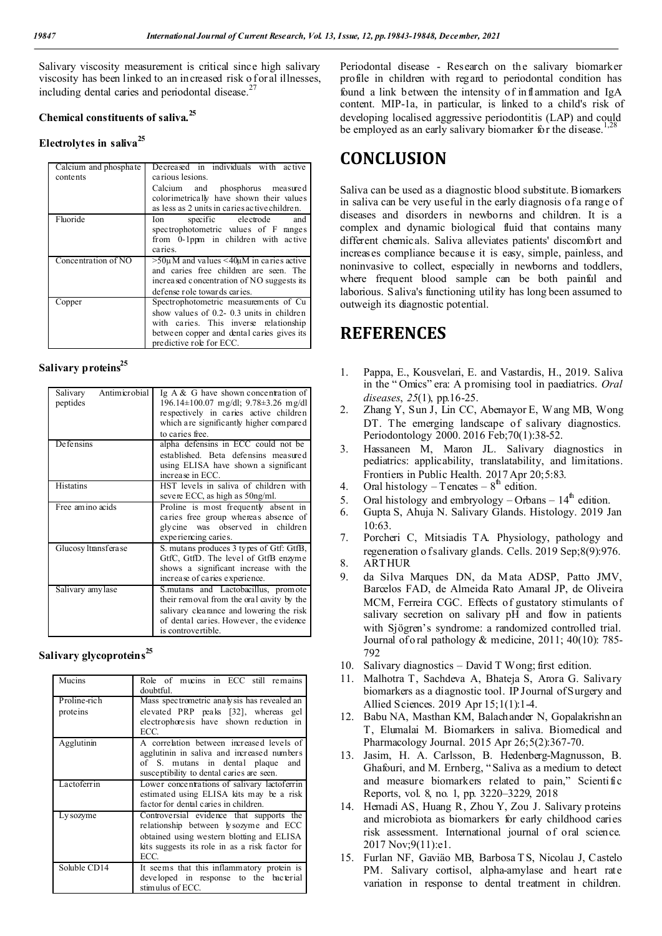Salivary viscosity measurement is critical since high salivary viscosity has been linked to an increased risk of oral illnesses, including dental caries and periodontal disease.<sup>27</sup>

#### **Chemical constituents of saliva.<sup>25</sup>**

#### **Electrolytes in saliva<sup>25</sup>**

| Calcium and phosphate<br>contents | Decreased in individuals with active<br>carious lesions.                                                                                                                                               |
|-----------------------------------|--------------------------------------------------------------------------------------------------------------------------------------------------------------------------------------------------------|
|                                   | Calcium and phosphorus measured<br>colorimetrically have shown their values<br>as less as 2 units in caries active children.                                                                           |
| Fluoride                          | specific electrode<br>and<br>Ion<br>spectrophotometric values of F ranges<br>from 0-1ppm in children with active<br>caries.                                                                            |
| Concentration of NO               | $>50\mu$ M and values <40 $\mu$ M in caries active<br>and caries free children are seen. The<br>increased concentration of NO suggests its<br>defense role towards caries.                             |
| Copper                            | Spectrophotometric measurements of Cu<br>show values of 0.2- 0.3 units in children<br>with caries. This inverse relationship<br>between copper and dental caries gives its<br>predictive role for ECC. |

## Salivary proteins<sup>25</sup>

| Antimicrobial<br>Salivary<br>peptides | Ig $A & G$ have shown concentration of<br>$196.14 \pm 100.07$ mg/dl; $9.78 \pm 3.26$ mg/dl<br>respectively in caries active children<br>which are significantly higher compared<br>to caries free. |
|---------------------------------------|----------------------------------------------------------------------------------------------------------------------------------------------------------------------------------------------------|
| <b>Defensins</b>                      | alpha defensins in ECC could not be<br>established. Beta defensins measured<br>using ELISA have shown a significant<br>increase in ECC.                                                            |
| <b>Histatins</b>                      | HST levels in saliva of children with<br>severe ECC, as high as 50ng/ml.                                                                                                                           |
| Free amino acids                      | Proline is most frequently absent in<br>caries free group whereas absence of<br>glycine was observed in children<br>experiencing caries.                                                           |
| Glucosy ltransferase                  | S. mutans produces 3 types of Gtf: GtfB,<br>GtfC, GtfD. The level of GtfB enzyme<br>shows a significant increase with the<br>increase of caries experience.                                        |
| Salivary amy lase                     | S. mutans and Lactobacillus, promote<br>their removal from the oral cavity by the<br>salivary clearance and lowering the risk<br>of dental caries. However, the evidence<br>is controvertible.     |

#### **Salivary glycoproteins<sup>25</sup>**

| Mucins                   | Role of mucins in ECC still remains<br>doubtful.                                                                                                                                         |
|--------------------------|------------------------------------------------------------------------------------------------------------------------------------------------------------------------------------------|
| Proline-rich<br>proteins | Mass spectrometric analysis has revealed an<br>elevated PRP peaks [32], whereas gel<br>electrophoresis have shown reduction in<br>ECC.                                                   |
| Agglutinin               | A correlation between increased levels of<br>agglutinin in saliva and increased numbers<br>of S. mutans in dental plaque<br>and<br>susceptibility to dental caries are seen.             |
| Lactoferrin              | Lower concentrations of salivary lactoferrin<br>estimated using ELISA kits may be a risk<br>factor for dental caries in children.                                                        |
| Ly sozyme                | Controversial evidence that supports the<br>relationship between lysozyme and ECC<br>obtained using western blotting and ELISA<br>kits suggests its role in as a risk factor for<br>ECC. |
| Soluble CD14             | It seems that this inflammatory protein is<br>developed in response to the bacterial<br>stimulus of ECC.                                                                                 |

Periodontal disease - Research on the salivary biomarker profile in children with regard to periodontal condition has found a link between the intensity of inflammation and IgA content. MIP-1a, in particular, is linked to a child's risk of developing localised aggressive periodontitis (LAP) and could be employed as an early salivary biomarker for the disease.<sup>1,28</sup>

# **CONCLUSION**

Saliva can be used as a diagnostic blood substitute. Biomarkers in saliva can be very useful in the early diagnosis of a range of diseases and disorders in newborns and children. It is a complex and dynamic biological fluid that contains many different chemicals. Saliva alleviates patients' discomfort and increases compliance because it is easy, simple, painless, and noninvasive to collect, especially in newborns and toddlers, where frequent blood sample can be both painful and laborious. Saliva's functioning utility has long been assumed to outweigh its diagnostic potential.

# **REFERENCES**

- 1. Pappa, E., Kousvelari, E. and Vastardis, H., 2019. Saliva in the " Omics" era: A p romising tool in paediatrics. *Oral diseases*, *25*(1), pp.16-25.
- 2. Zhang Y, Sun J, Lin CC, Abemayor E, Wang MB, Wong DT. The emerging landscape of salivary diagnostics. Periodontology 2000. 2016 Feb;70(1):38-52.
- 3. Hassaneen M, Maron JL. Salivary diagnostics in pediatrics: applicability, translatability, and limitations. Frontiers in Public Health. 2017 Apr 20;5:83.
- 4. Oral histology Tencates  $8<sup>th</sup>$  edition.
- 5. Oral histology and embryology Orbans  $14<sup>th</sup>$  edition.
- 6. Gupta S, Ahuja N. Salivary Glands. Histology. 2019 Jan 10:63.
- 7. Porcheri C, Mitsiadis TA. Physiology, pathology and regeneration o f salivary glands. Cells. 2019 Sep;8(9):976.
- 8. ARTHUR
- 9. da Silva Marques DN, da Mata ADSP, Patto JMV, Barcelos FAD, de Almeida Rato Amaral JP, de Oliveira MCM, Ferreira CGC. Effects of gustatory stimulants of salivary secretion on salivary pH and flow in patients with Sjögren's syndrome: a randomized controlled trial. Journal of o ral pathology & medicine, 2011; 40(10): 785- 792
- 10. Salivary diagnostics David T Wong; first edition.
- 11. Malhotra T, Sachdeva A, Bhateja S, Arora G. Salivary biomarkers as a diagnostic tool. IP Journal of Surgery and Allied Sciences. 2019 Apr 15;1(1):1-4.
- 12. Babu NA, Masthan KM, Balachander N, Gopalakrishn an T, Elumalai M. Biomarkers in saliva. Biomedical and Pharmacology Journal. 2015 Apr 26;5(2):367-70.
- 13. Jasim, H. A. Carlsson, B. Hedenberg-Magnusson, B. Ghafouri, and M. Ernberg, "Saliva as a medium to detect and measure biomarkers related to pain," Scientific Reports, vol. 8, no. 1, pp. 3220–3229, 2018
- 14. Hemadi AS, Huang R, Zhou Y, Zou J. Salivary proteins and microbiota as biomarkers for early childhood caries risk assessment. International journal of oral science. 2017 Nov;9(11):e1.
- 15. Furlan NF, Gaviäo MB, Barbosa T S, Nicolau J, Castelo PM. Salivary cortisol, alpha-amylase and heart rate variation in response to dental treatment in children.